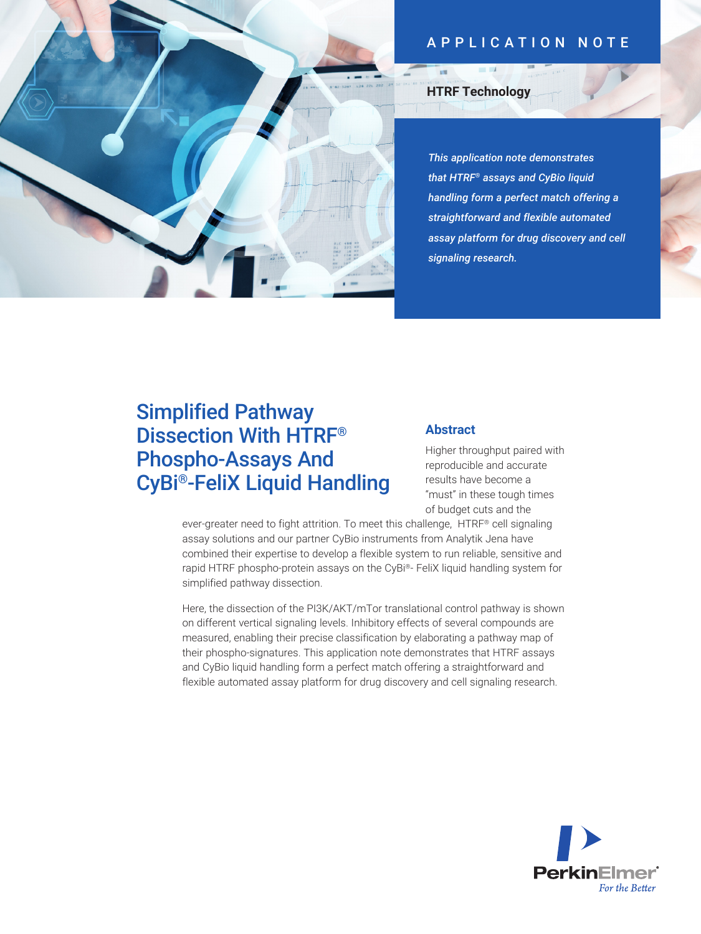# APPLICATION NOTE



## **HTRF Technology**

*This application note demonstrates that HTRF® assays and CyBio liquid handling form a perfect match offering a straightforward and flexible automated assay platform for drug discovery and cell signaling research.*

# Simplified Pathway Dissection With HTRF® Phospho-Assays And CyBi®-FeliX Liquid Handling

#### **Abstract**

Higher throughput paired with reproducible and accurate results have become a "must" in these tough times of budget cuts and the

ever-greater need to fight attrition. To meet this challenge, HTRF® cell signaling assay solutions and our partner CyBio instruments from Analytik Jena have combined their expertise to develop a flexible system to run reliable, sensitive and rapid HTRF phospho-protein assays on the CyBi®- FeliX liquid handling system for simplified pathway dissection.

Here, the dissection of the PI3K/AKT/mTor translational control pathway is shown on different vertical signaling levels. Inhibitory effects of several compounds are measured, enabling their precise classification by elaborating a pathway map of their phospho-signatures. This application note demonstrates that HTRF assays and CyBio liquid handling form a perfect match offering a straightforward and flexible automated assay platform for drug discovery and cell signaling research.

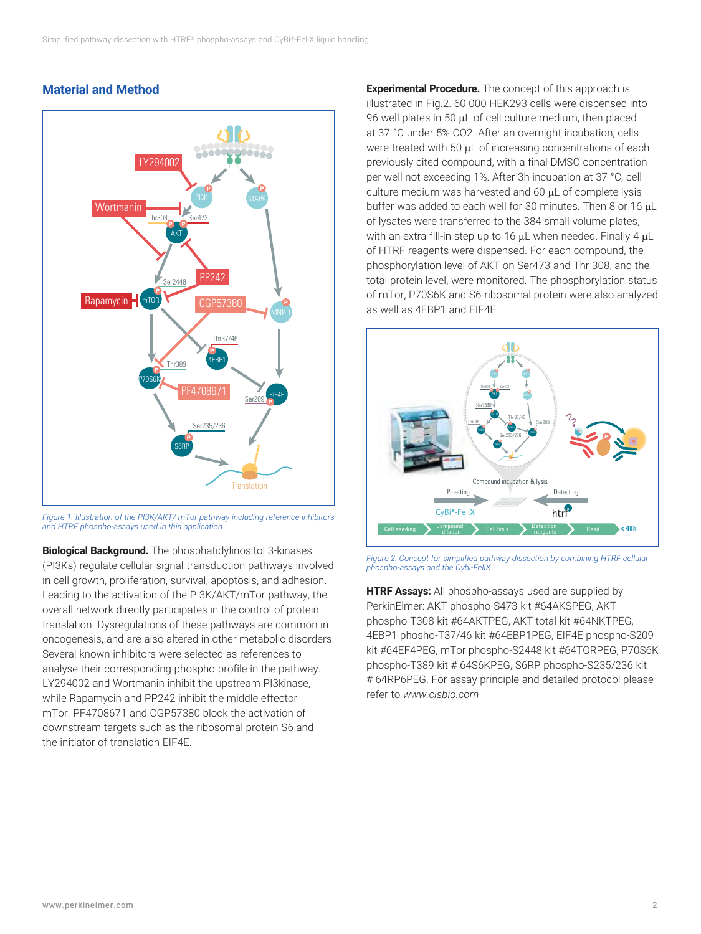## **Material and Method**



*Figure 1: Illustration of the PI3K/AKT/ mTor pathway including reference inhibitors and HTRF phospho-assays used in this application*

**Biological Background.** The phosphatidylinositol 3-kinases (PI3Ks) regulate cellular signal transduction pathways involved in cell growth, proliferation, survival, apoptosis, and adhesion. Leading to the activation of the PI3K/AKT/mTor pathway, the overall network directly participates in the control of protein translation. Dysregulations of these pathways are common in oncogenesis, and are also altered in other metabolic disorders. Several known inhibitors were selected as references to analyse their corresponding phospho-profile in the pathway. LY294002 and Wortmanin inhibit the upstream PI3kinase, while Rapamycin and PP242 inhibit the middle effector mTor. PF4708671 and CGP57380 block the activation of downstream targets such as the ribosomal protein S6 and the initiator of translation EIF4E.

**Experimental Procedure.** The concept of this approach is illustrated in Fig.2. 60 000 HEK293 cells were dispensed into 96 well plates in 50  $\mu$ L of cell culture medium, then placed at 37 °C under 5% CO2. After an overnight incubation, cells were treated with 50  $\mu$ L of increasing concentrations of each previously cited compound, with a final DMSO concentration per well not exceeding 1%. After 3h incubation at 37 °C, cell culture medium was harvested and 60 µL of complete lysis buffer was added to each well for 30 minutes. Then 8 or 16  $\mu$ L of lysates were transferred to the 384 small volume plates, with an extra fill-in step up to 16  $\mu$ L when needed. Finally 4  $\mu$ L of HTRF reagents were dispensed. For each compound, the phosphorylation level of AKT on Ser473 and Thr 308, and the total protein level, were monitored. The phosphorylation status of mTor, P70S6K and S6-ribosomal protein were also analyzed as well as 4EBP1 and EIF4E.



*Figure 2: Concept for simplified pathway dissection by combining HTRF cellular phospho-assays and the Cybi-FeliX*

**HTRF Assays:** All phospho-assays used are supplied by PerkinElmer: AKT phospho-S473 kit #64AKSPEG, AKT phospho-T308 kit #64AKTPEG, AKT total kit #64NKTPEG, 4EBP1 phosho-T37/46 kit #64EBP1PEG, EIF4E phospho-S209 kit #64EF4PEG, mTor phospho-S2448 kit #64TORPEG, P70S6K phospho-T389 kit # 64S6KPEG, S6RP phospho-S235/236 kit # 64RP6PEG. For assay principle and detailed protocol please refer to *www.cisbio.com*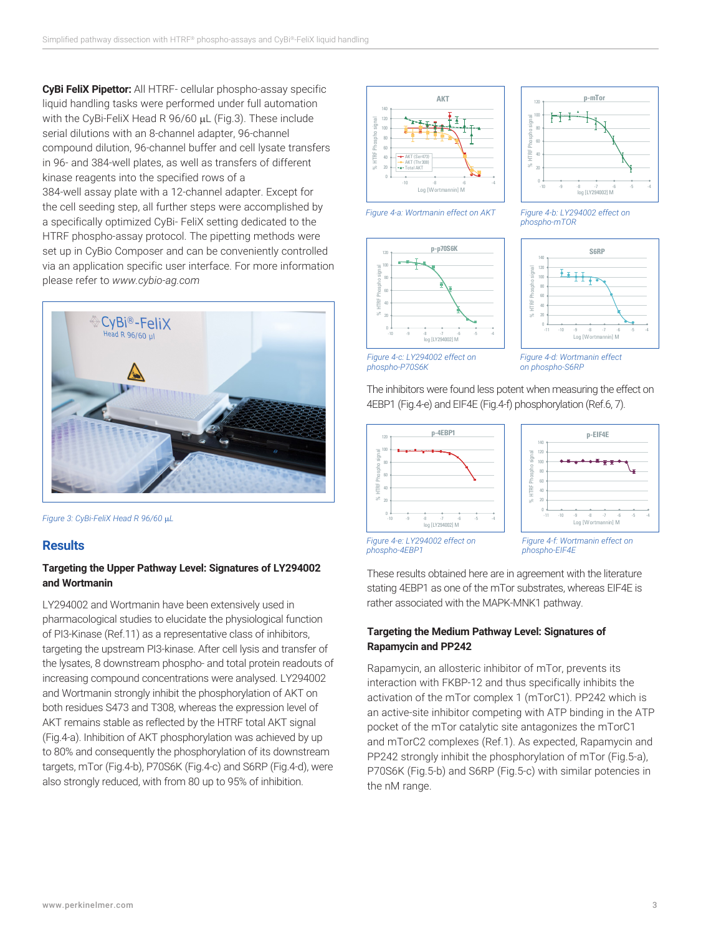**CyBi FeliX Pipettor:** All HTRF- cellular phospho-assay specific liquid handling tasks were performed under full automation with the CyBi-FeliX Head R 96/60 µL (Fig.3). These include serial dilutions with an 8-channel adapter, 96-channel compound dilution, 96-channel buffer and cell lysate transfers in 96- and 384-well plates, as well as transfers of different kinase reagents into the specified rows of a 384-well assay plate with a 12-channel adapter. Except for

the cell seeding step, all further steps were accomplished by a specifically optimized CyBi- FeliX setting dedicated to the HTRF phospho-assay protocol. The pipetting methods were set up in CyBio Composer and can be conveniently controlled via an application specific user interface. For more information please refer to *www.cybio-ag.com*



*Figure 3: CyBi-FeliX Head R 96/60* µ*L*

## **Results**

#### **Targeting the Upper Pathway Level: Signatures of LY294002 and Wortmanin**

LY294002 and Wortmanin have been extensively used in pharmacological studies to elucidate the physiological function of PI3-Kinase (Ref.11) as a representative class of inhibitors, targeting the upstream PI3-kinase. After cell lysis and transfer of the lysates, 8 downstream phospho- and total protein readouts of increasing compound concentrations were analysed. LY294002 and Wortmanin strongly inhibit the phosphorylation of AKT on both residues S473 and T308, whereas the expression level of AKT remains stable as reflected by the HTRF total AKT signal (Fig.4-a). Inhibition of AKT phosphorylation was achieved by up to 80% and consequently the phosphorylation of its downstream targets, mTor (Fig.4-b), P70S6K (Fig.4-c) and S6RP (Fig.4-d), were also strongly reduced, with from 80 up to 95% of inhibition.





*Figure 4-a: Wortmanin effect on AKT Figure 4-b: LY294002 effect on* 







*Figure 4-d: Wortmanin effect on phospho-S6RP*

*phospho-mTOR*

The inhibitors were found less potent when measuring the effect on 4EBP1 (Fig.4-e) and EIF4E (Fig.4-f) phosphorylation (Ref.6, 7).





*Figure 4-e: LY294002 effect on phospho-4EBP1*

*Figure 4-f: Wortmanin effect on phospho-EIF4E*

These results obtained here are in agreement with the literature stating 4EBP1 as one of the mTor substrates, whereas EIF4E is rather associated with the MAPK-MNK1 pathway.

#### **Targeting the Medium Pathway Level: Signatures of Rapamycin and PP242**

Rapamycin, an allosteric inhibitor of mTor, prevents its interaction with FKBP-12 and thus specifically inhibits the activation of the mTor complex 1 (mTorC1). PP242 which is an active-site inhibitor competing with ATP binding in the ATP pocket of the mTor catalytic site antagonizes the mTorC1 and mTorC2 complexes (Ref.1). As expected, Rapamycin and PP242 strongly inhibit the phosphorylation of mTor (Fig.5-a), P70S6K (Fig.5-b) and S6RP (Fig.5-c) with similar potencies in the nM range.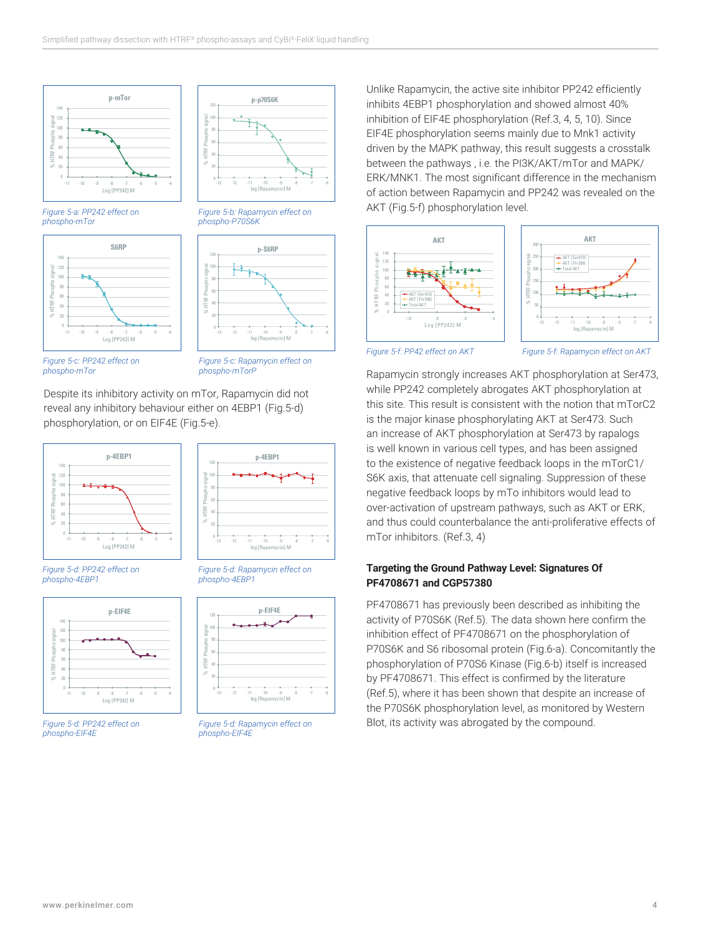

*Figure 5-a: PP242 effect on phospho-mTor*





*Figure 5-b: Rapamycin effect on* 

<sup>120</sup> **p-S6RP**

<sup>120</sup> **p-p70S6K**

.<br>in] M -13 -12 -11 -10 -9 -8 -7 -6

*phospho-P70S6K*

 $\rightarrow$ 

HTRF

 $\overline{6}$ 80 100

*Figure 5-c: PP242 effect on phospho-mTor*

*Figure 5-c: Rapamycin effect on phospho-mTorP*

Despite its inhibitory activity on mTor, Rapamycin did not reveal any inhibitory behaviour either on 4EBP1 (Fig.5-d) phosphorylation, or on EIF4E (Fig.5-e).



*Figure 5-d: PP242 effect on phospho-4EBP1*



*Figure 5-d: PP242 effect on phospho-EIF4E*



*Figure 5-d: Rapamycin effect on* 



*Figure 5-d: Rapamycin effect on phospho-EIF4E*

Unlike Rapamycin, the active site inhibitor PP242 efficiently inhibits 4EBP1 phosphorylation and showed almost 40% inhibition of EIF4E phosphorylation (Ref.3, 4, 5, 10). Since EIF4E phosphorylation seems mainly due to Mnk1 activity driven by the MAPK pathway, this result suggests a crosstalk between the pathways , i.e. the PI3K/AKT/mTor and MAPK/ ERK/MNK1. The most significant difference in the mechanism of action between Rapamycin and PP242 was revealed on the AKT (Fig.5-f) phosphorylation level.





*Figure 5-f: PP42 effect on AKT Figure 5-f: Rapamycin effect on AKT*

Rapamycin strongly increases AKT phosphorylation at Ser473, while PP242 completely abrogates AKT phosphorylation at this site. This result is consistent with the notion that mTorC2 is the major kinase phosphorylating AKT at Ser473. Such an increase of AKT phosphorylation at Ser473 by rapalogs is well known in various cell types, and has been assigned to the existence of negative feedback loops in the mTorC1/ S6K axis, that attenuate cell signaling. Suppression of these negative feedback loops by mTo inhibitors would lead to over-activation of upstream pathways, such as AKT or ERK, and thus could counterbalance the anti-proliferative effects of mTor inhibitors. (Ref.3, 4)

#### **Targeting the Ground Pathway Level: Signatures Of PF4708671 and CGP57380**

PF4708671 has previously been described as inhibiting the activity of P70S6K (Ref.5). The data shown here confirm the inhibition effect of PF4708671 on the phosphorylation of P70S6K and S6 ribosomal protein (Fig.6-a). Concomitantly the phosphorylation of P70S6 Kinase (Fig.6-b) itself is increased by PF4708671. This effect is confirmed by the literature (Ref.5), where it has been shown that despite an increase of the P70S6K phosphorylation level, as monitored by Western Blot, its activity was abrogated by the compound.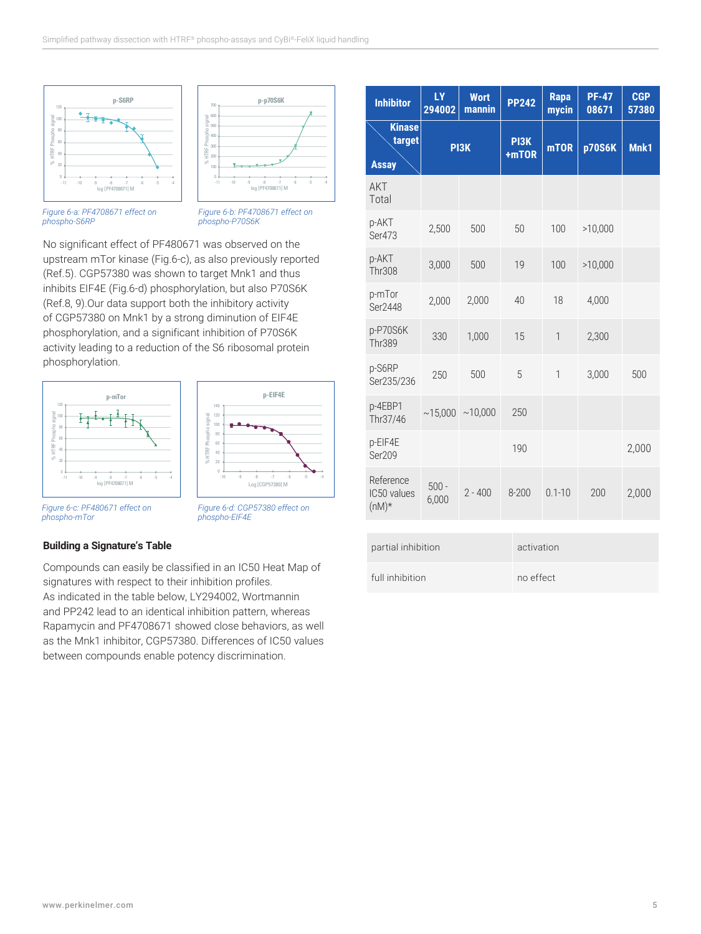



*Figure 6-a: PF4708671 effect on phospho-S6RP*

*Figure 6-b: PF4708671 effect on phospho-P70S6K*

No significant effect of PF480671 was observed on the upstream mTor kinase (Fig.6-c), as also previously reported (Ref.5). CGP57380 was shown to target Mnk1 and thus inhibits EIF4E (Fig.6-d) phosphorylation, but also P70S6K (Ref.8, 9).Our data support both the inhibitory activity of CGP57380 on Mnk1 by a strong diminution of EIF4E phosphorylation, and a significant inhibition of P70S6K activity leading to a reduction of the S6 ribosomal protein phosphorylation.





*Figure 6-c: PF480671 effect on phospho-mTor*

*Figure 6-d: CGP57380 effect on phospho-EIF4E*

#### **Building a Signature's Table**

Compounds can easily be classified in an IC50 Heat Map of signatures with respect to their inhibition profiles. As indicated in the table below, LY294002, Wortmannin and PP242 lead to an identical inhibition pattern, whereas Rapamycin and PF4708671 showed close behaviors, as well as the Mnk1 inhibitor, CGP57380. Differences of IC50 values between compounds enable potency discrimination.

| <b>Inhibitor</b>                        | <b>LY</b><br>294002 | <b>Wort</b><br>mannin | <b>PP242</b>  | <b>Rapa</b><br>mycin | <b>PF-47</b><br>08671 | <b>CGP</b><br>57380 |  |
|-----------------------------------------|---------------------|-----------------------|---------------|----------------------|-----------------------|---------------------|--|
| <b>Kinase</b><br>target<br><b>Assay</b> | PI3K                |                       | PI3K<br>+mTOR | <b>mTOR</b>          | <b>p70S6K</b>         | Mnk1                |  |
| AKT<br>Total                            |                     |                       |               |                      |                       |                     |  |
| p-AKT<br>Ser473                         | 2,500               | 500                   | 50            | 100                  | >10,000               |                     |  |
| p-AKT<br><b>Thr308</b>                  | 3,000               | 500                   | 19            | 100                  | >10,000               |                     |  |
| p-mTor<br>Ser2448                       | 2,000               | 2,000                 | 40            | 18                   | 4,000                 |                     |  |
| p-P70S6K<br><b>Thr389</b>               | 330                 | 1,000                 | 15            | $\mathbf{1}$         | 2,300                 |                     |  |
| p-S6RP<br>Ser235/236                    | 250                 | 500                   | 5             | $\mathbf{1}$         | 3,000                 | 500                 |  |
| p-4EBP1<br>Thr37/46                     | ~15,000             | ~10,000               | 250           |                      |                       |                     |  |
| p-EIF4E<br>Ser209                       |                     |                       | 190           |                      |                       | 2,000               |  |
| Reference<br>IC50 values<br>$(nM)*$     | $500 -$<br>6,000    | $2 - 400$             | 8-200         | $0.1 - 10$           | 200                   | 2,000               |  |
| partial inhibition                      |                     |                       |               | activation           |                       |                     |  |
| full inhibition                         |                     |                       |               | no effect            |                       |                     |  |